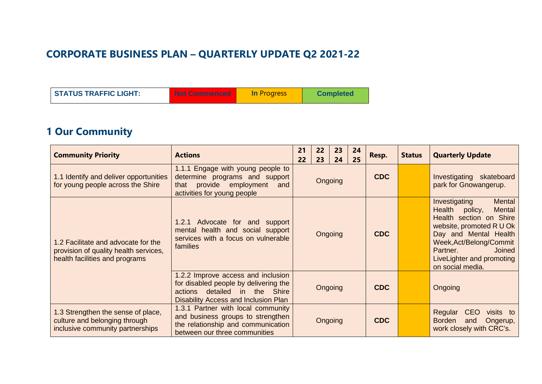#### **CORPORATE BUSINESS PLAN – QUARTERLY UPDATE Q2 2021-22**

| <b>STATUS TRAFFIC LIGHT:</b> | <b>Not Commenced</b> | <b>In Progress</b> | <b>Completed</b> |
|------------------------------|----------------------|--------------------|------------------|
|------------------------------|----------------------|--------------------|------------------|

## **1 Our Community**

| <b>Community Priority</b>                                                                                      | <b>Actions</b>                                                                                                                                       | 21<br>22 | 22<br>23 | 23<br>24 | 24<br>25   | Resp.      | <b>Status</b>                                                                                                                                                                                                                                              | <b>Quarterly Update</b>                                                                            |  |  |  |  |  |                                                   |
|----------------------------------------------------------------------------------------------------------------|------------------------------------------------------------------------------------------------------------------------------------------------------|----------|----------|----------|------------|------------|------------------------------------------------------------------------------------------------------------------------------------------------------------------------------------------------------------------------------------------------------------|----------------------------------------------------------------------------------------------------|--|--|--|--|--|---------------------------------------------------|
| 1.1 Identify and deliver opportunities<br>for young people across the Shire                                    | 1.1.1 Engage with young people to<br>determine programs and support<br>provide employment<br>that<br>and<br>activities for young people              | Ongoing  |          |          |            |            |                                                                                                                                                                                                                                                            |                                                                                                    |  |  |  |  |  | Investigating skateboard<br>park for Gnowangerup. |
| 1.2 Facilitate and advocate for the<br>provision of quality health services,<br>health facilities and programs | 1.2.1 Advocate for and support<br>mental health and social support<br>services with a focus on vulnerable<br>families                                | Ongoing  |          |          | <b>CDC</b> |            | Investigating<br><b>Mental</b><br>Health policy,<br><b>Mental</b><br>Health section on Shire<br>website, promoted R U Ok<br>Day and Mental Health<br>Week, Act/Belong/Commit<br>Partner.<br><b>Joined</b><br>LiveLighter and promoting<br>on social media. |                                                                                                    |  |  |  |  |  |                                                   |
|                                                                                                                | 1.2.2 Improve access and inclusion<br>for disabled people by delivering the<br>actions detailed in the Shire<br>Disability Access and Inclusion Plan | Ongoing  |          |          |            | <b>CDC</b> |                                                                                                                                                                                                                                                            | Ongoing                                                                                            |  |  |  |  |  |                                                   |
| 1.3 Strengthen the sense of place,<br>culture and belonging through<br>inclusive community partnerships        | 1.3.1 Partner with local community<br>and business groups to strengthen<br>the relationship and communication<br>between our three communities       |          | Ongoing  |          |            | <b>CDC</b> |                                                                                                                                                                                                                                                            | <b>CEO</b><br>Regular<br>visits to<br><b>Borden</b><br>Ongerup,<br>and<br>work closely with CRC's. |  |  |  |  |  |                                                   |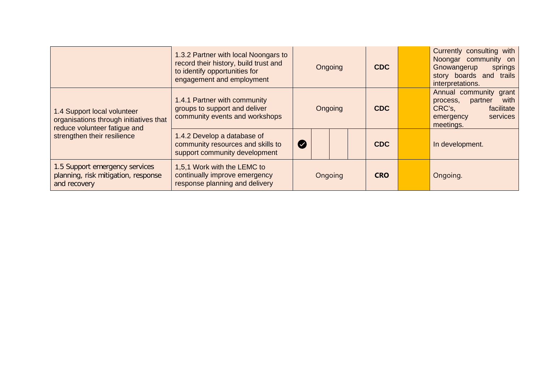|                                                                                                       | 1.3.2 Partner with local Noongars to<br>record their history, build trust and<br>to identify opportunities for<br>engagement and employment | Ongoing   |  |  | <b>CDC</b> |  | Currently consulting with<br>Noongar community on<br>Gnowangerup<br>springs<br>story boards and trails<br>interpretations. |                                                                                                                     |
|-------------------------------------------------------------------------------------------------------|---------------------------------------------------------------------------------------------------------------------------------------------|-----------|--|--|------------|--|----------------------------------------------------------------------------------------------------------------------------|---------------------------------------------------------------------------------------------------------------------|
| 1.4 Support local volunteer<br>organisations through initiatives that<br>reduce volunteer fatique and | 1.4.1 Partner with community<br>groups to support and deliver<br>community events and workshops                                             | Ongoing   |  |  |            |  |                                                                                                                            | Annual community grant<br>with<br>process,<br>partner<br>CRC's,<br>facilitate<br>services<br>emergency<br>meetings. |
| strengthen their resilience                                                                           | 1.4.2 Develop a database of<br>community resources and skills to<br>support community development                                           | $\bullet$ |  |  | <b>CDC</b> |  | In development.                                                                                                            |                                                                                                                     |
| 1.5 Support emergency services<br>planning, risk mitigation, response<br>and recovery                 | 1,5,1 Work with the LEMC to<br>continually improve emergency<br>response planning and delivery                                              | Ongoing   |  |  | <b>CRO</b> |  | Ongoing.                                                                                                                   |                                                                                                                     |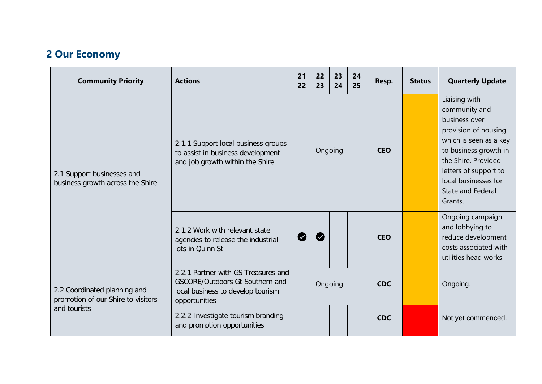## **2 Our Economy**

| <b>Community Priority</b>                                          | <b>Actions</b>                                                                                                                      | 21<br>22                   | 22<br>23 | 23<br>24 | 24<br>25   | Resp.      | <b>Status</b> | <b>Quarterly Update</b>                                                                                                                                                                                                            |
|--------------------------------------------------------------------|-------------------------------------------------------------------------------------------------------------------------------------|----------------------------|----------|----------|------------|------------|---------------|------------------------------------------------------------------------------------------------------------------------------------------------------------------------------------------------------------------------------------|
| 2.1 Support businesses and<br>business growth across the Shire     | 2.1.1 Support local business groups<br>to assist in business development<br>and job growth within the Shire                         | Ongoing                    |          |          |            | <b>CEO</b> |               | Liaising with<br>community and<br>business over<br>provision of housing<br>which is seen as a key<br>to business growth in<br>the Shire. Provided<br>letters of support to<br>local businesses for<br>State and Federal<br>Grants. |
|                                                                    | 2.1.2 Work with relevant state<br>agencies to release the industrial<br>lots in Quinn St                                            | $\boldsymbol{\mathcal{Z}}$ |          |          |            | <b>CEO</b> |               | Ongoing campaign<br>and lobbying to<br>reduce development<br>costs associated with<br>utilities head works                                                                                                                         |
| 2.2 Coordinated planning and<br>promotion of our Shire to visitors | 2.2.1 Partner with GS Treasures and<br><b>GSCORE/Outdoors Gt Southern and</b><br>local business to develop tourism<br>opportunities | Ongoing                    |          |          | <b>CDC</b> |            | Ongoing.      |                                                                                                                                                                                                                                    |
| and tourists                                                       | 2.2.2 Investigate tourism branding<br>and promotion opportunities                                                                   |                            |          |          |            | <b>CDC</b> |               | Not yet commenced.                                                                                                                                                                                                                 |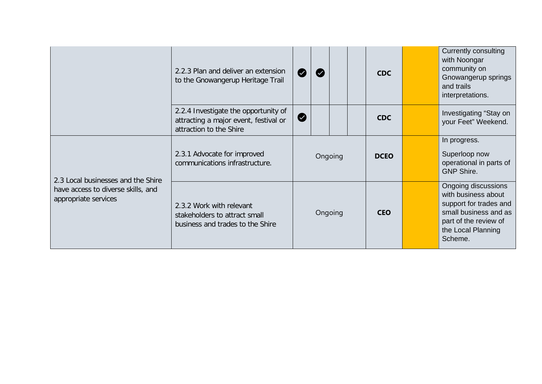|                                                            | 2.2.3 Plan and deliver an extension<br>to the Gnowangerup Heritage Trail                                 |         | <b>CDC</b>  | <b>Currently consulting</b><br>with Noongar<br>community on<br>Gnowangerup springs<br>and trails<br>interpretations.                                    |
|------------------------------------------------------------|----------------------------------------------------------------------------------------------------------|---------|-------------|---------------------------------------------------------------------------------------------------------------------------------------------------------|
|                                                            | 2.2.4 Investigate the opportunity of<br>attracting a major event, festival or<br>attraction to the Shire | IV.     | <b>CDC</b>  | Investigating "Stay on<br>your Feet" Weekend.                                                                                                           |
| 2.3 Local businesses and the Shire                         | 2.3.1 Advocate for improved<br>communications infrastructure.                                            | Ongoing | <b>DCEO</b> | In progress.<br>Superloop now<br>operational in parts of<br><b>GNP Shire.</b>                                                                           |
| have access to diverse skills, and<br>appropriate services | 2.3.2 Work with relevant<br>stakeholders to attract small<br>business and trades to the Shire            | Ongoing | <b>CEO</b>  | Ongoing discussions<br>with business about<br>support for trades and<br>small business and as<br>part of the review of<br>the Local Planning<br>Scheme. |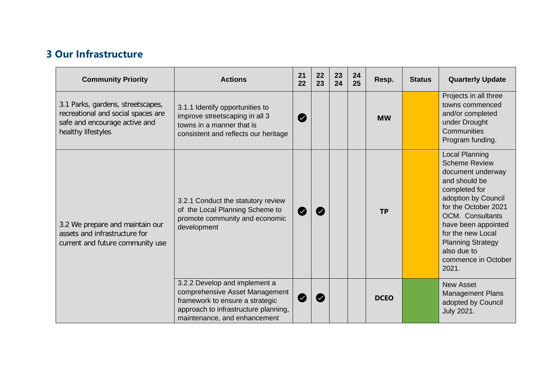#### **3 Our Infrastructure**

| <b>Community Priority</b>                                                                                                      | <b>Actions</b>                                                                                                                                                             | 21<br>22         | 22<br>23 | 23<br>24 | 24<br>25 | Resp.       | <b>Status</b> | <b>Quarterly Update</b>                                                                                                                                                                                                                                                                        |
|--------------------------------------------------------------------------------------------------------------------------------|----------------------------------------------------------------------------------------------------------------------------------------------------------------------------|------------------|----------|----------|----------|-------------|---------------|------------------------------------------------------------------------------------------------------------------------------------------------------------------------------------------------------------------------------------------------------------------------------------------------|
| 3.1 Parks, gardens, streetscapes,<br>recreational and social spaces are<br>safe and encourage active and<br>healthy lifestyles | 3.1.1 Identify opportunities to<br>improve streetscaping in all 3<br>towns in a manner that is<br>consistent and reflects our heritage                                     | Ø                |          |          |          | <b>MW</b>   |               | Projects in all three<br>towns commenced<br>and/or completed<br>under Drought<br>Communities<br>Program funding.                                                                                                                                                                               |
| 3.2 We prepare and maintain our<br>assets and infrastructure for<br>current and future community use                           | 3.2.1 Conduct the statutory review<br>of the Local Planning Scheme to<br>promote community and economic<br>development                                                     | $\boldsymbol{z}$ |          |          |          | <b>TP</b>   |               | <b>Local Planning</b><br><b>Scheme Review</b><br>document underway<br>and should be<br>completed for<br>adoption by Council<br>for the October 2021<br>OCM. Consultants<br>have been appointed<br>for the new Local<br><b>Planning Strategy</b><br>also due to<br>commence in October<br>2021. |
|                                                                                                                                | 3.2.2 Develop and implement a<br>comprehensive Asset Management<br>framework to ensure a strategic<br>approach to infrastructure planning,<br>maintenance, and enhancement | $\bullet$        |          |          |          | <b>DCEO</b> |               | <b>New Asset</b><br><b>Management Plans</b><br>adopted by Council<br>July 2021.                                                                                                                                                                                                                |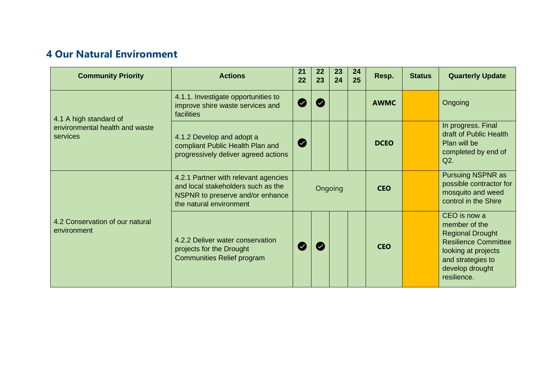### **4 Our Natural Environment**

| <b>Community Priority</b>                                            | <b>Actions</b>                                                                                                                            | 21<br>22     | 22<br>23 | 23<br>24 | 24<br>25 | Resp.       | <b>Status</b> | <b>Quarterly Update</b>                                                                                                                                               |
|----------------------------------------------------------------------|-------------------------------------------------------------------------------------------------------------------------------------------|--------------|----------|----------|----------|-------------|---------------|-----------------------------------------------------------------------------------------------------------------------------------------------------------------------|
| 4.1 A high standard of<br>environmental health and waste<br>services | 4.1.1. Investigate opportunities to<br>improve shire waste services and<br>facilities                                                     | Ø            |          |          |          | <b>AWMC</b> |               | Ongoing                                                                                                                                                               |
|                                                                      | 4.1.2 Develop and adopt a<br>compliant Public Health Plan and<br>progressively deliver agreed actions                                     | Ø            |          |          |          | <b>DCEO</b> |               | In progress. Final<br>draft of Public Health<br>Plan will be<br>completed by end of<br>Q2.                                                                            |
|                                                                      | 4.2.1 Partner with relevant agencies<br>and local stakeholders such as the<br>NSPNR to preserve and/or enhance<br>the natural environment | Ongoing      |          |          |          | <b>CEO</b>  |               | <b>Pursuing NSPNR as</b><br>possible contractor for<br>mosquito and weed<br>control in the Shire                                                                      |
| 4.2 Conservation of our natural<br>environment                       | 4.2.2 Deliver water conservation<br>projects for the Drought<br>Communities Relief program                                                | $\checkmark$ |          |          |          | <b>CEO</b>  |               | CEO is now a<br>member of the<br><b>Regional Drought</b><br><b>Resilience Committee</b><br>looking at projects<br>and strategies to<br>develop drought<br>resilience. |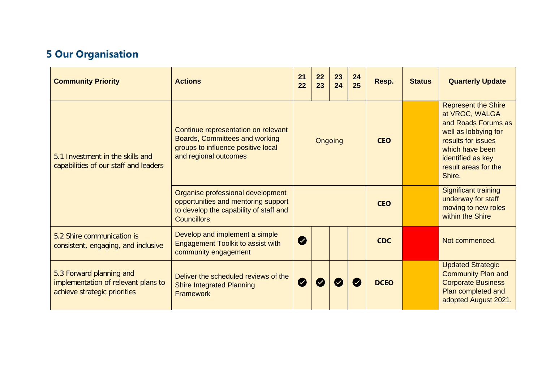# **5 Our Organisation**

| <b>Community Priority</b>                                                                       | <b>Actions</b>                                                                                                                           | 21<br>22                 | 22<br>23 | 23<br>24   | 24<br>25 | Resp.                                                                                        | <b>Status</b> | <b>Quarterly Update</b>                                                                                                                                                                     |
|-------------------------------------------------------------------------------------------------|------------------------------------------------------------------------------------------------------------------------------------------|--------------------------|----------|------------|----------|----------------------------------------------------------------------------------------------|---------------|---------------------------------------------------------------------------------------------------------------------------------------------------------------------------------------------|
| 5.1 Investment in the skills and<br>capabilities of our staff and leaders                       | Continue representation on relevant<br>Boards, Committees and working<br>groups to influence positive local<br>and regional outcomes     | Ongoing                  |          |            |          | <b>CEO</b>                                                                                   |               | <b>Represent the Shire</b><br>at VROC, WALGA<br>and Roads Forums as<br>well as lobbying for<br>results for issues<br>which have been<br>identified as key<br>result areas for the<br>Shire. |
|                                                                                                 | Organise professional development<br>opportunities and mentoring support<br>to develop the capability of staff and<br><b>Councillors</b> |                          |          | <b>CEO</b> |          | <b>Significant training</b><br>underway for staff<br>moving to new roles<br>within the Shire |               |                                                                                                                                                                                             |
| 5.2 Shire communication is<br>consistent, engaging, and inclusive                               | Develop and implement a simple<br>Engagement Toolkit to assist with<br>community engagement                                              | Ø                        |          |            |          | <b>CDC</b>                                                                                   |               | Not commenced.                                                                                                                                                                              |
| 5.3 Forward planning and<br>implementation of relevant plans to<br>achieve strategic priorities | Deliver the scheduled reviews of the<br><b>Shire Integrated Planning</b><br><b>Framework</b>                                             | $\overline{\mathcal{L}}$ |          |            |          | <b>DCEO</b>                                                                                  |               | <b>Updated Strategic</b><br><b>Community Plan and</b><br><b>Corporate Business</b><br>Plan completed and<br>adopted August 2021.                                                            |